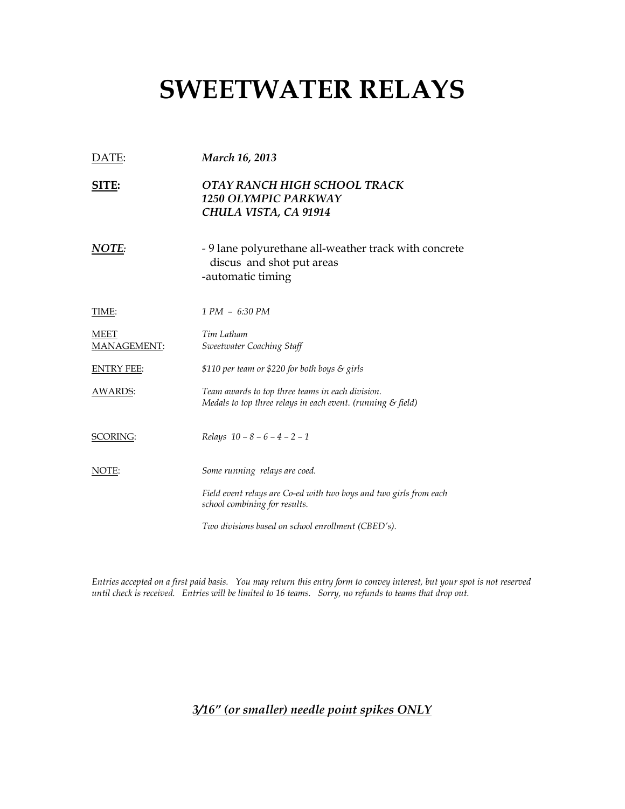## SWEETWATER RELAYS

| DATE:               | <b>March 16, 2013</b>                                                                                                      |  |
|---------------------|----------------------------------------------------------------------------------------------------------------------------|--|
| SITE:               | OTAY RANCH HIGH SCHOOL TRACK<br>1250 OLYMPIC PARKWAY<br>CHULA VISTA, CA 91914                                              |  |
| NOTE:               | - 9 lane polyurethane all-weather track with concrete<br>discus and shot put areas<br>-automatic timing                    |  |
| <b>TIME:</b>        | 1 PM - 6:30 PM                                                                                                             |  |
| MEET<br>MANAGEMENT: | Tim Latham<br><b>Sweetwater Coaching Staff</b>                                                                             |  |
| <b>ENTRY FEE:</b>   | \$110 per team or \$220 for both boys & girls                                                                              |  |
| <u>AWARDS:</u>      | Team awards to top three teams in each division.<br>Medals to top three relays in each event. (running $\mathcal S$ field) |  |
| <b>SCORING:</b>     | Relays $10 - 8 - 6 - 4 - 2 - 1$                                                                                            |  |
| <u>NOTE:</u>        | Some running relays are coed.                                                                                              |  |
|                     | Field event relays are Co-ed with two boys and two girls from each<br>school combining for results.                        |  |
|                     | Two divisions based on school enrollment (CBED's).                                                                         |  |

Entries accepted on a first paid basis. You may return this entry form to convey interest, but your spot is not reserved until check is received. Entries will be limited to 16 teams. Sorry, no refunds to teams that drop out.

3/16" (or smaller) needle point spikes ONLY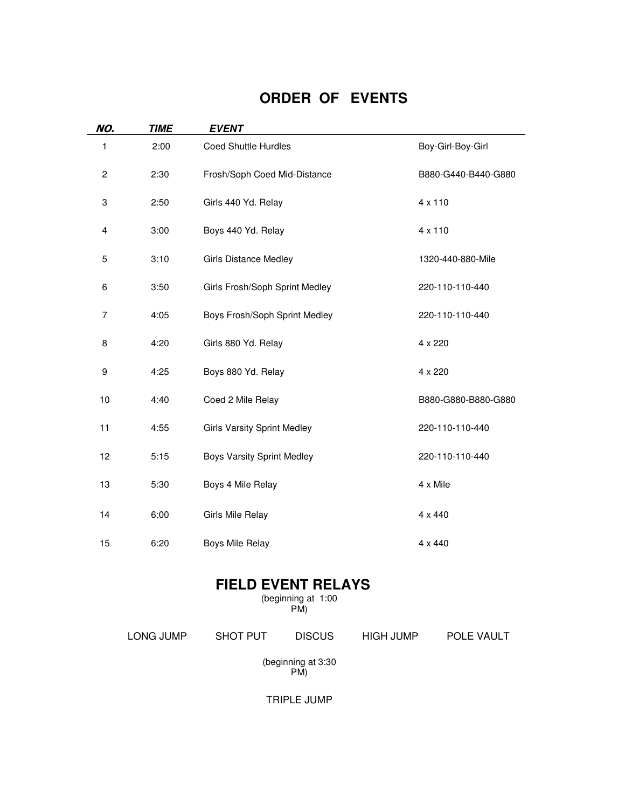## **ORDER OF EVENTS**

| NO.              | <b>TIME</b> | <b>EVENT</b>                       |                     |
|------------------|-------------|------------------------------------|---------------------|
| 1                | 2:00        | <b>Coed Shuttle Hurdles</b>        | Boy-Girl-Boy-Girl   |
| $\boldsymbol{2}$ | 2:30        | Frosh/Soph Coed Mid-Distance       | B880-G440-B440-G880 |
| 3                | 2:50        | Girls 440 Yd. Relay                | 4 x 110             |
| 4                | 3:00        | Boys 440 Yd. Relay                 | 4 x 110             |
| 5                | 3:10        | <b>Girls Distance Medley</b>       | 1320-440-880-Mile   |
| 6                | 3:50        | Girls Frosh/Soph Sprint Medley     | 220-110-110-440     |
| $\overline{7}$   | 4:05        | Boys Frosh/Soph Sprint Medley      | 220-110-110-440     |
| 8                | 4:20        | Girls 880 Yd. Relay                | 4 x 220             |
| 9                | 4:25        | Boys 880 Yd. Relay                 | 4 x 220             |
| 10               | 4:40        | Coed 2 Mile Relay                  | B880-G880-B880-G880 |
| 11               | 4:55        | <b>Girls Varsity Sprint Medley</b> | 220-110-110-440     |
| 12               | 5:15        | <b>Boys Varsity Sprint Medley</b>  | 220-110-110-440     |
| 13               | 5:30        | Boys 4 Mile Relay                  | 4 x Mile            |
| 14               | 6:00        | Girls Mile Relay                   | 4 x 440             |
| 15               | 6:20        | <b>Boys Mile Relay</b>             | 4 x 440             |

## **FIELD EVENT RELAYS**

(beginning at 1:00 PM)

LONG JUMP SHOT PUT DISCUS HIGH JUMP POLE VAULT

(beginning at 3:30 PM)

TRIPLE JUMP